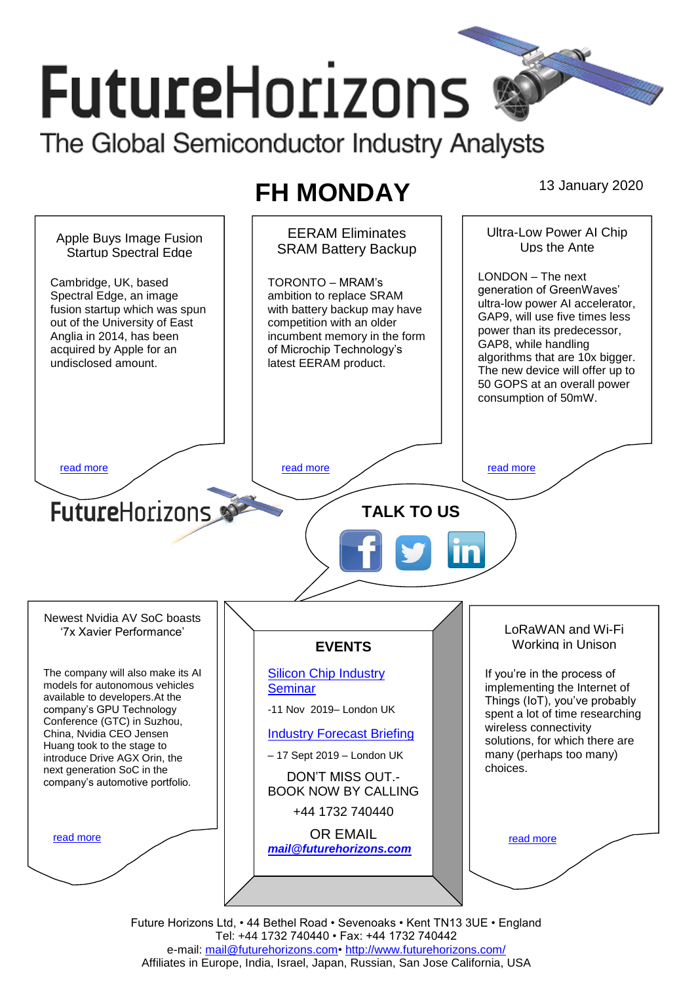# **FutureHorizons**

The Global Semiconductor Industry Analysts

## **FH MONDAY** 13 January 2020

EERAM Eliminates Ultra-Low Power AI Chip Apple Buys Image Fusion Ups the Ante SRAM Battery Backup Startup Spectral Edge LONDON – The next Cambridge, UK, based TORONTO – MRAM's generation of GreenWaves' Spectral Edge, an image ambition to replace SRAM ultra-low power AI accelerator, fusion startup which was spun with battery backup may have GAP9, will use five times less out of the University of East competition with an older power than its predecessor, Anglia in 2014, has been incumbent memory in the form GAP8, while handling of Microchip Technology's acquired by Apple for an algorithms that are 10x bigger. undisclosed amount. latest EERAM product. The new device will offer up to 50 GOPS at an overall power consumption of 50mW. [read more](#page-1-1) that the second contract the second contract of the read more that the read more that the read more **Future**Horizons **TALK TO US** Newest Nvidia AV SoC boasts LoRaWAN and Wi-Fi '7x Xavier Performance' Working in Unison **EVENTS** The company will also make its AI [Silicon Chip Industry](http://www.futurehorizons.com/page/12/silicon-chip-training)  If you're in the process of models for autonomous vehicles **[Seminar](http://www.futurehorizons.com/page/12/silicon-chip-training)** implementing the Internet of available to developers.At the Things (IoT), you've probably company's GPU Technology -11 Nov 2019– London UK spent a lot of time researching Conference (GTC) in Suzhou, wireless connectivity China, Nvidia CEO Jensen [Industry Forecast Briefing](http://www.futurehorizons.com/page/13/Semiconductor-Market-Forecast-Seminar) solutions, for which there are Huang took to the stage to – 17 Sept 2019 – London UK many (perhaps too many) introduce Drive AGX Orin, the choices. next generation SoC in the DON'T MISS OUT. company's automotive portfolio.BOOK NOW BY CALLING +44 1732 740440 OR EMAIL [read more](#page-1-3) [read more](#page-1-4) *[mail@futurehorizons.com](mailto:mail@futurehorizons.com)*

Future Horizons Ltd, • 44 Bethel Road • Sevenoaks • Kent TN13 3UE • England Tel: +44 1732 740440 • Fax: +44 1732 740442 e-mail: [mail@futurehorizons.com•](FH%20Monday%20-%202017/mail@futurehorizons.com)<http://www.futurehorizons.com/> Affiliates in Europe, India, Israel, Japan, Russian, San Jose California, USA